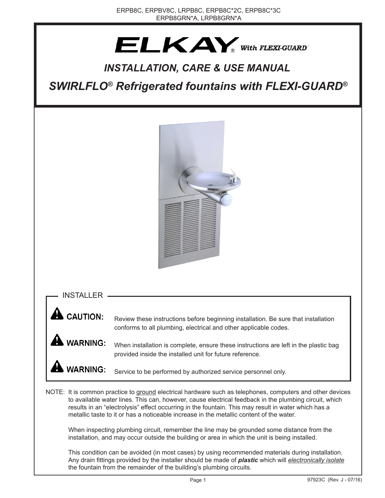# $ELKAY_{\text{with FLEXI-GUARD}}$

# *INSTALLATION, CARE & USE MANUAL*

*SWIRLFLO® Refrigerated fountains with FLEXI-GUARD®*



INSTALLER

**WARNING:** 

**CAUTION:** Review these instructions before beginning installation. Be sure that installation conforms to all plumbing, electrical and other applicable codes.

> When installation is complete, ensure these instructions are left in the plastic bag provided inside the installed unit for future reference.

**WARNING:** Service to be performed by authorized service personnel only.

NOTE: It is common practice to ground electrical hardware such as telephones, computers and other devices to available water lines. This can, however, cause electrical feedback in the plumbing circuit, which results in an "electrolysis" effect occurring in the fountain. This may result in water which has a metallic taste to it or has a noticeable increase in the metallic content of the water.

When inspecting plumbing circuit, remember the line may be grounded some distance from the installation, and may occur outside the building or area in which the unit is being installed.

This condition can be avoided (in most cases) by using recommended materials during installation. Any drain fittings provided by the installer should be made of *plastic* which will *electronically isolate* the fountain from the remainder of the building's plumbing circuits.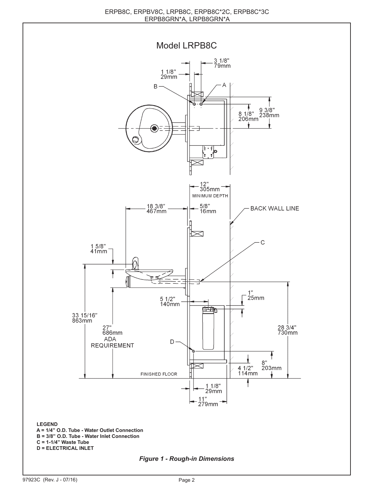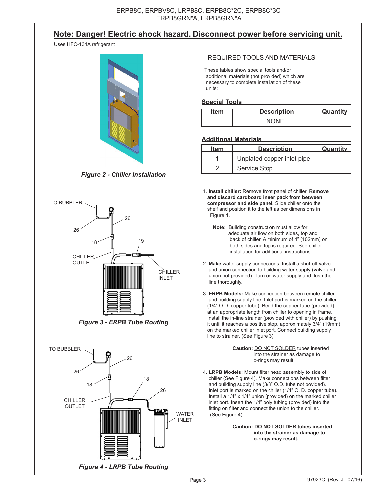# **Note: Danger! Electric shock hazard. Disconnect power before servicing unit.**

Uses HFC-134A refrigerant



*Figure 2 - Chiller Installation*



*Figure 3 - ERPB Tube Routing*



#### REQUIRED TOOLS AND MATERIALS

 These tables show special tools and/or additional materials (not provided) which are necessary to complete installation of these units:

#### **Special Tools**

| TAM | <b>Description</b> | <b>Quantity</b> |
|-----|--------------------|-----------------|
|     | MUUN               |                 |

#### **Additional Materials**

| <b>Item</b> | <b>Description</b>         | Quantity |
|-------------|----------------------------|----------|
|             | Unplated copper inlet pipe |          |
|             | Service Stop               |          |

 1. **Install chiller:** Remove front panel of chiller. **Remove and discard cardboard inner pack from between compressor and side panel.** Slide chiller onto the shelf and position it to the left as per dimensions in Figure 1.

 **Note:** Building construction must allow for adequate air flow on both sides, top and back of chiller. A minimum of 4" (102mm) on both sides and top is required. See chiller installation for additional instructions.

- 2. **Make** water supply connections. Install a shut-off valve and union connection to building water supply (valve and union not provided). Turn on water supply and flush the line thoroughly.
- 3. **ERPB Models:** Make connection between remote chiller and building supply line. Inlet port is marked on the chiller (1/4" O.D. copper tube). Bend the copper tube (provided) at an appropriate length from chiller to opening in frame. Install the in-line strainer (provided with chiller) by pushing it until it reaches a positive stop, approximately 3/4" (19mm) on the marked chiller inlet port. Connect building supply line to strainer. (See Figure 3)

 **Caution:** DO NOT SOLDER tubes inserted into the strainer as damage to o-rings may result.

 4. **LRPB Models:** Mount filter head assembly to side of chiller (See Figure 4). Make connections between filter and building supply line (3/8" O.D. tube not povided). Inlet port is marked on the chiller (1/4" O. D. copper tube). Install a 1/4" x 1/4" union (provided) on the marked chiller inlet port. Insert the 1/4" poly tubing (provided) into the fitting on filter and connect the union to the chiller. (See Figure 4)

> **Caution: DO NOT SOLDER tubes inserted into the strainer as damage to o-rings may result.**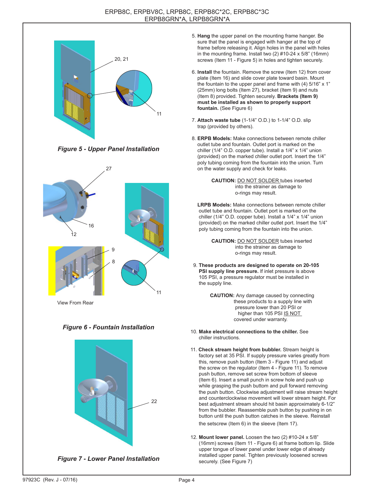

*Figure 5 - Upper Panel Installation*



View From Rear

#### *Figure 6 - Fountain Installation*



*Figure 7 - Lower Panel Installation*

- 5. **Hang** the upper panel on the mounting frame hanger. Be sure that the panel is engaged with hanger at the top of frame before releasing it. Align holes in the panel with holes in the mounting frame. Install two (2) #10-24 x 5/8" (16mm) screws (Item 11 - Figure 5) in holes and tighten securely.
- 6. **Install** the fountain. Remove the screw (Item 12) from cover plate (Item 16) and slide cover plate toward basin. Mount the fountain to the upper panel and frame with (4) 5/16" x 1" (25mm) long bolts (Item 27), bracket (Item 9) and nuts (Item 8) provided. Tighten securely. **Brackets (Item 9) must be installed as shown to properly support fountain.** (See Figure 6)
- 7. **Attach waste tube** (1-1/4" O.D.) to 1-1/4" O.D. slip trap (provided by others).
- 8. **ERPB Models:** Make connections between remote chiller outlet tube and fountain. Outlet port is marked on the chiller (1/4" O.D. copper tube). Install a 1/4" x 1/4" union (provided) on the marked chiller outlet port. Insert the 1/4" poly tubing coming from the fountain into the union. Turn on the water supply and check for leaks.



 **LRPB Models:** Make connections between remote chiller outlet tube and fountain. Outlet port is marked on the chiller (1/4" O.D. copper tube). Install a 1/4" x 1/4" union (provided) on the marked chiller outlet port. Insert the 1/4" poly tubing coming from the fountain into the union.

 **CAUTION:** DO NOT SOLDER tubes inserted into the strainer as damage to o-rings may result.

- 9. **These products are designed to operate on 20-105 PSI supply line pressure.** If inlet pressure is above 105 PSI, a pressure regulator must be installed in the supply line.
	- **CAUTION:** Any damage caused by connecting these products to a supply line with pressure lower than 20 PSI or higher than 105 PSI IS NOT covered under warranty.
- 10. **Make electrical connections to the chiller.** See chiller instructions.
- 11. **Check stream height from bubbler.** Stream height is factory set at 35 PSI. If supply pressure varies greatly from this, remove push button (Item 3 - Figure 11) and adjust the screw on the regulator (Item 4 - Figure 11). To remove push button, remove set screw from bottom of sleeve (Item 6). Insert a small punch in screw hole and push up while grasping the push buttom and pull forward removing the push button. Clockwise adjustment will raise stream height and counterclockwise movement will lower stream height. For best adjustment stream should hit basin approximately 6-1/2" from the bubbler. Reassemble push button by pushing in on button until the push button catches in the sleeve. Reinstall the setscrew (Item 6) in the sleeve (Item 17).
- 12. **Mount lower panel.** Loosen the two (2) #10-24 x 5/8" (16mm) screws (Item 11 - Figure 6) at frame bottom lip. Slide upper tongue of lower panel under lower edge of already installed upper panel. Tighten previously loosened screws securely. (See Figure 7)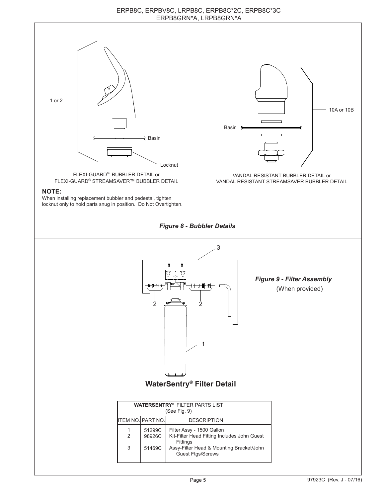#### ERPB8C, ERPBV8C, LRPB8C, ERPB8C\*2C, ERPB8C\*3C ERPB8GRN\*A, LRPB8GRN\*A

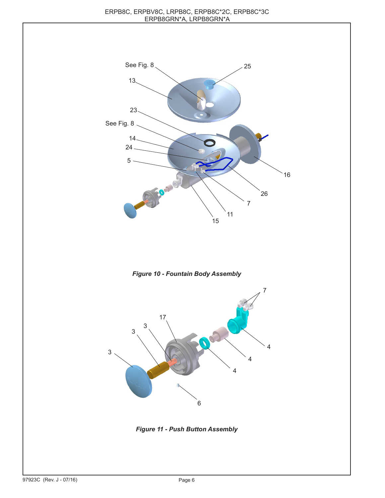





*Figure 11 - Push Button Assembly*